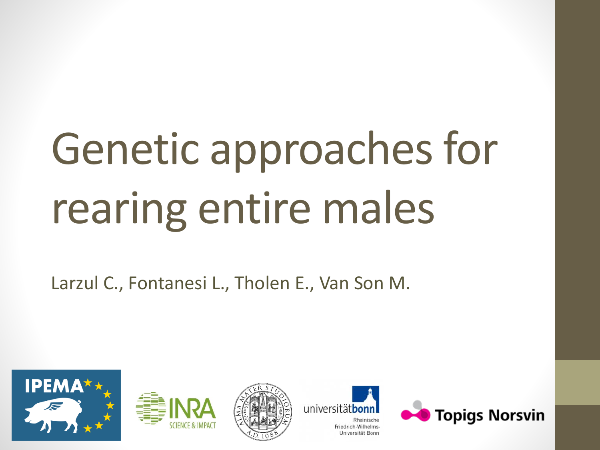# Genetic approaches for rearing entire males

Larzul C., Fontanesi L., Tholen E., Van Son M.









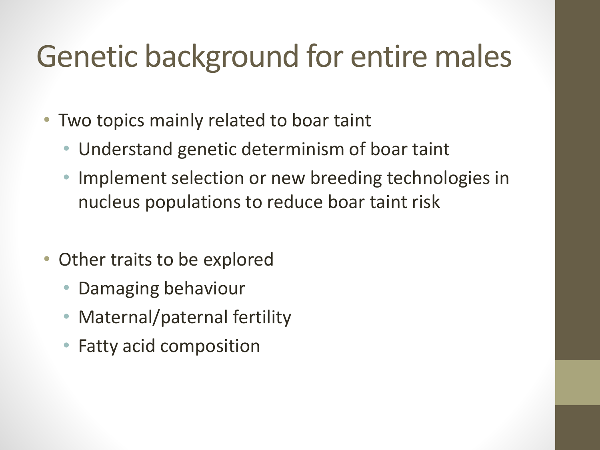#### Genetic background for entire males

- Two topics mainly related to boar taint
	- Understand genetic determinism of boar taint
	- Implement selection or new breeding technologies in nucleus populations to reduce boar taint risk
- Other traits to be explored
	- Damaging behaviour
	- Maternal/paternal fertility
	- Fatty acid composition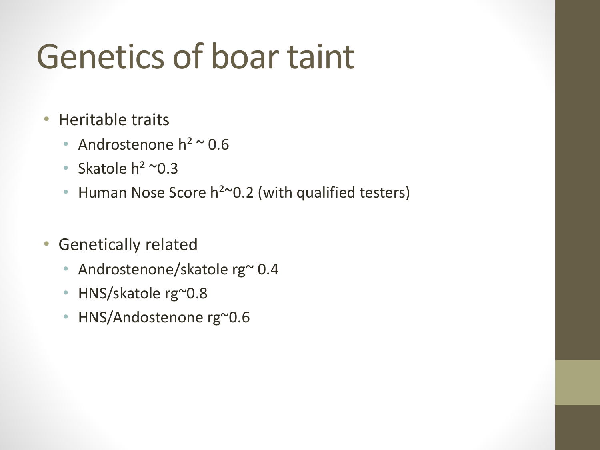### Genetics of boar taint

- Heritable traits
	- Androstenone  $h^2 \sim 0.6$
	- Skatole  $h^2 \sim 0.3$
	- Human Nose Score  $h^{2,\infty}$ 0.2 (with qualified testers)
- Genetically related
	- Androstenone/skatole rg~ 0.4
	- HNS/skatole rg~0.8
	- HNS/Andostenone rg~0.6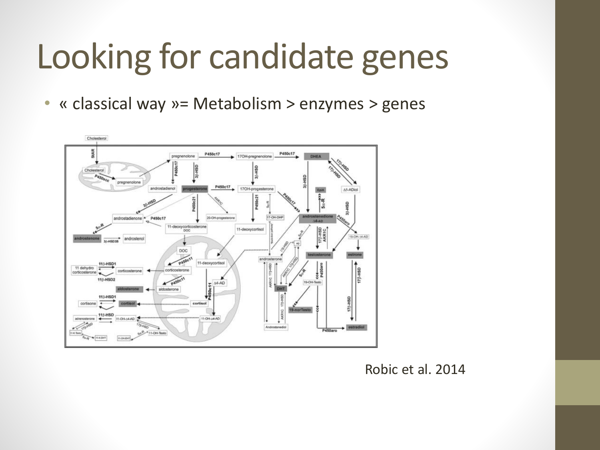#### Looking for candidate genes

• « classical way »= Metabolism > enzymes > genes



Robic et al. 2014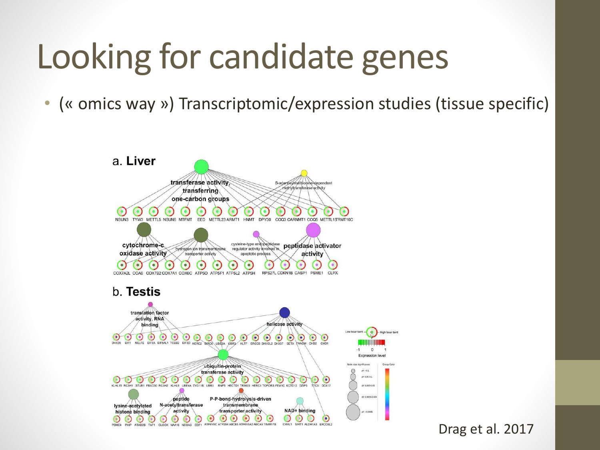### Looking for candidate genes

• (« omics way ») Transcriptomic/expression studies (tissue specific)



Drag et al. 2017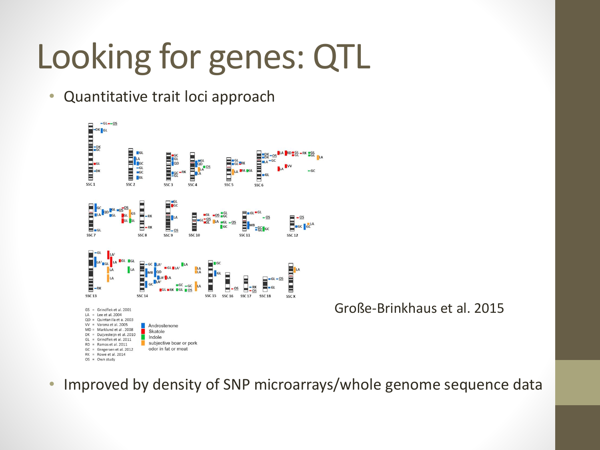# Looking for genes: QTL

• Quantitative trait loci approach



Große-Brinkhaus et al. 2015

• Improved by density of SNP microarrays/whole genome sequence data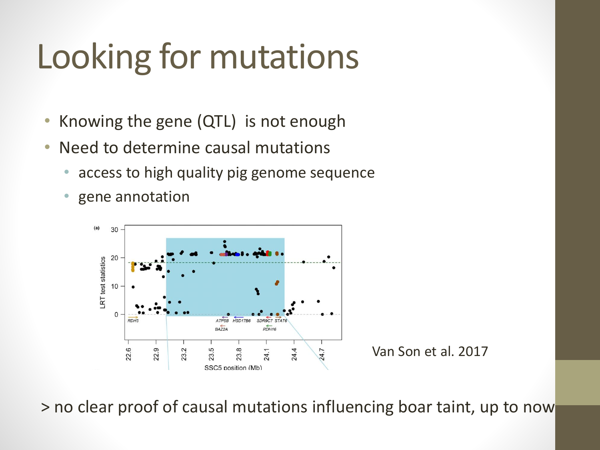### Looking for mutations

- Knowing the gene (QTL) is not enough
- Need to determine causal mutations
	- access to high quality pig genome sequence
	- gene annotation



> no clear proof of causal mutations influencing boar taint, up to now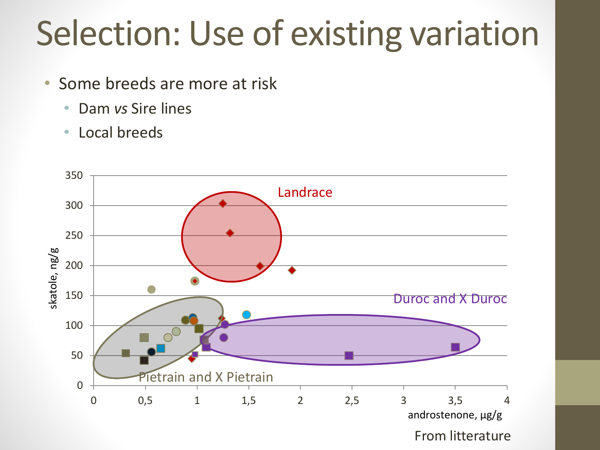### Selection: Use of existing variation

- Some breeds are more at risk
	- Dam *vs* Sire lines
	- Local breeds

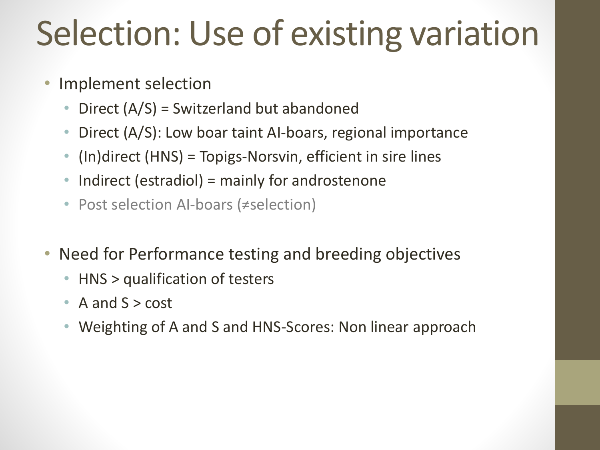#### Selection: Use of existing variation

- Implement selection
	- Direct  $(A/S)$  = Switzerland but abandoned
	- Direct (A/S): Low boar taint AI-boars, regional importance
	- (In)direct (HNS) = Topigs-Norsvin, efficient in sire lines
	- Indirect (estradiol) = mainly for androstenone
	- Post selection AI-boars (≠selection)
- Need for Performance testing and breeding objectives
	- HNS > qualification of testers
	- A and S > cost
	- Weighting of A and S and HNS-Scores: Non linear approach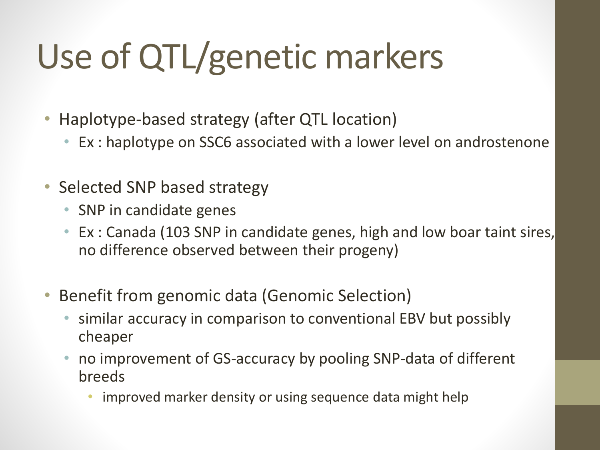# Use of QTL/genetic markers

- Haplotype-based strategy (after QTL location)
	- Ex : haplotype on SSC6 associated with a lower level on androstenone
- Selected SNP based strategy
	- SNP in candidate genes
	- Ex : Canada (103 SNP in candidate genes, high and low boar taint sires, no difference observed between their progeny)
- Benefit from genomic data (Genomic Selection)
	- similar accuracy in comparison to conventional EBV but possibly cheaper
	- no improvement of GS-accuracy by pooling SNP-data of different breeds
		- improved marker density or using sequence data might help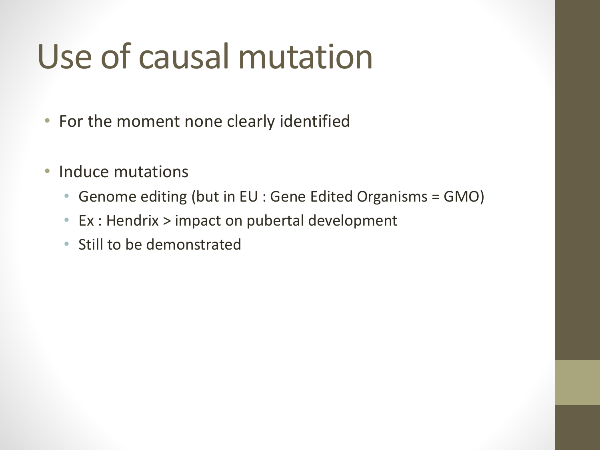#### Use of causal mutation

- For the moment none clearly identified
- Induce mutations
	- Genome editing (but in EU : Gene Edited Organisms = GMO)
	- Ex : Hendrix > impact on pubertal development
	- Still to be demonstrated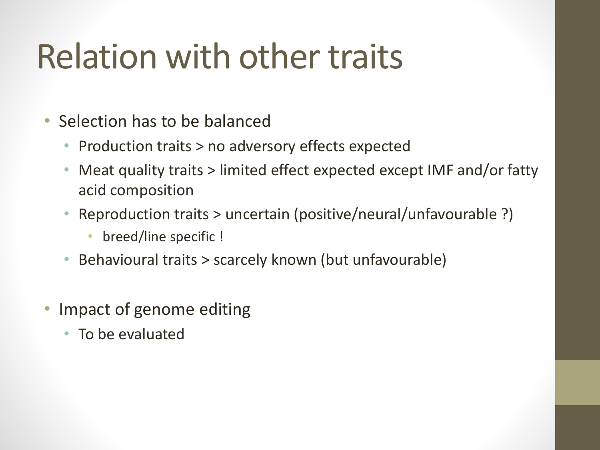#### Relation with other traits

- Selection has to be balanced
	- Production traits > no adversory effects expected
	- Meat quality traits > limited effect expected except IMF and/or fatty acid composition
	- Reproduction traits > uncertain (positive/neural/unfavourable ?)
		- breed/line specific !
	- Behavioural traits > scarcely known (but unfavourable)
- Impact of genome editing
	- To be evaluated